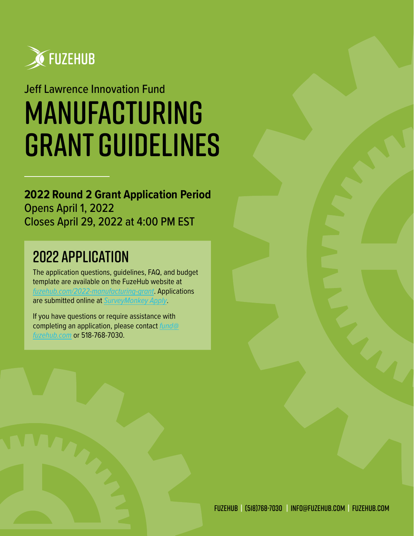

# Jeff Lawrence Innovation Fund Manufacturing grant guidelines

### **2022 Round 2 Grant Application Period** Opens April 1, 2022 Closes April 29, 2022 at 4:00 PM EST

## 2022 Application

The application questions, guidelines, FAQ, and budget template are available on the FuzeHub website at *[fuzehub.com/2022-manufacturing-grant](https://fuzehub.com/2022-manufacturing-grant/)*. Applications are submitted online at *[SurveyMonkey Apply](https://fuzehub.smapply.io)*.

If you have questions or require assistance with completing an application, please contact *[fund@](mailto:fund%40fuzehub.com?subject=Manufacturing%20Grant%20-%20Application%20Assistance) [fuzehub.com](mailto:fund%40fuzehub.com?subject=Manufacturing%20Grant%20-%20Application%20Assistance)* or 518-768-7030.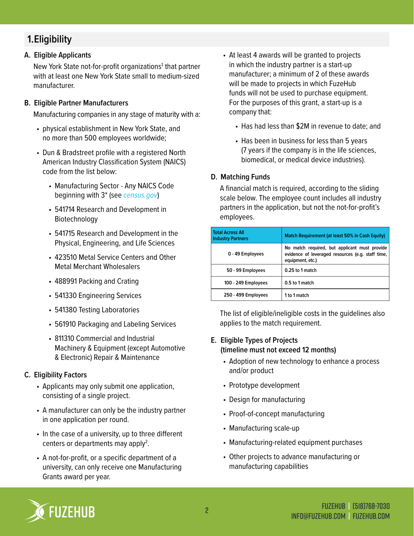### **1.Eligibility**

### **A. Eligible Applicants**

New York State not-for-profit organizations<sup>1</sup> that partner with at least one New York State small to medium-sized manufacturer.

#### **B. Eligible Partner Manufacturers**

Manufacturing companies in any stage of maturity with a:

- physical establishment in New York State, and no more than 500 employees worldwide;
- Dun & Bradstreet profile with a registered North American Industry Classification System (NAICS) code from the list below:
	- Manufacturing Sector Any NAICS Code beginning with 3\* (see *[census.gov](http://www.census.gov/manufacturing/numerical_list/)*)
	- 541714 Research and Development in Biotechnology
	- 541715 Research and Development in the Physical, Engineering, and Life Sciences
	- 423510 Metal Service Centers and Other Metal Merchant Wholesalers
	- 488991 Packing and Crating
	- 541330 Engineering Services
	- 541380 Testing Laboratories
	- 561910 Packaging and Labeling Services
	- 811310 Commercial and Industrial Machinery & Equipment (except Automotive & Electronic) Repair & Maintenance

### **C. Eligibility Factors**

- Applicants may only submit one application, consisting of a single project.
- A manufacturer can only be the industry partner in one application per round.
- In the case of a university, up to three different centers or departments may apply<sup>2</sup>.
- A not-for-profit, or a specific department of a university, can only receive one Manufacturing Grants award per year.
- At least 4 awards will be granted to projects in which the industry partner is a start-up manufacturer; a minimum of 2 of these awards will be made to projects in which FuzeHub funds will not be used to purchase equipment. For the purposes of this grant, a start-up is a company that:
	- Has had less than \$2M in revenue to date; and
	- Has been in business for less than 5 years (7 years if the company is in the life sciences, biomedical, or medical device industries).

### **D. Matching Funds**

A financial match is required, according to the sliding scale below. The employee count includes all industry partners in the application, but not the not-for-profit's employees.

| <b>Total Across All</b><br><b>Industry Partners</b> | Match Requirement (at least 50% in Cash Equity)                                                                        |
|-----------------------------------------------------|------------------------------------------------------------------------------------------------------------------------|
| 0 - 49 Employees                                    | No match required, but applicant must provide<br>evidence of leveraged resources (e.g. staff time,<br>equipment, etc.) |
| 50 - 99 Employees                                   | 0.25 to 1 match                                                                                                        |
| 100 - 249 Employees                                 | 0.5 to 1 match                                                                                                         |
| 250 - 499 Employees                                 | 1 to 1 match                                                                                                           |

The list of eligible/ineligible costs in the guidelines also applies to the match requirement.

### **E. Eligible Types of Projects (timeline must not exceed 12 months)**

- Adoption of new technology to enhance a process and/or product
- Prototype development
- Design for manufacturing
- Proof-of-concept manufacturing
- Manufacturing scale-up
- Manufacturing-related equipment purchases
- Other projects to advance manufacturing or manufacturing capabilities

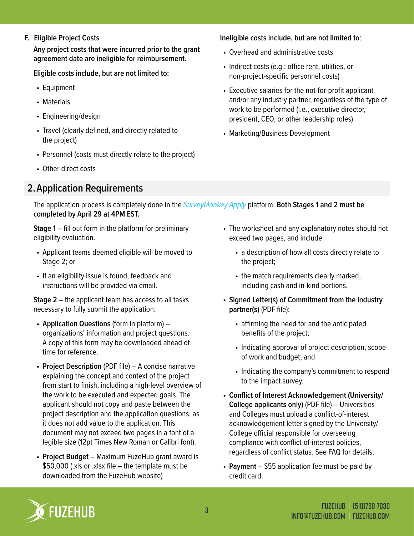**F. Eligible Project Costs**

**Any project costs that were incurred prior to the grant agreement date are ineligible for reimbursement.** 

**Eligible costs include, but are not limited to:**

- Equipment
- Materials
- Engineering/design
- Travel (clearly defined, and directly related to the project)
- Personnel (costs must directly relate to the project)
- Other direct costs

### **2.Application Requirements**

**Ineligible costs include, but are not limited to**:

- Overhead and administrative costs
- Indirect costs (e.g.: office rent, utilities, or non-project-specific personnel costs)
- Executive salaries for the not-for-profit applicant and/or any industry partner, regardless of the type of work to be performed (i.e., executive director, president, CEO, or other leadership roles)
- Marketing/Business Development

The application process is completely done in the *[SurveyMonkey Apply](https://fuzehub.smapply.io/)* platform. **Both Stages 1 and 2 must be completed by April 29 at 4PM EST.**

**Stage 1** – fill out form in the platform for preliminary eligibility evaluation.

- Applicant teams deemed eligible will be moved to Stage 2; or
- If an eligibility issue is found, feedback and instructions will be provided via email.

**Stage 2** – the applicant team has access to all tasks necessary to fully submit the application:

- **• Application Questions** (form in platform) organizations' information and project questions. A copy of this form may be downloaded ahead of time for reference.
- **• Project Description** (PDF file) A concise narrative explaining the concept and context of the project from start to finish, including a high-level overview of the work to be executed and expected goals. The applicant should not copy and paste between the project description and the application questions, as it does not add value to the application. This document may not exceed two pages in a font of a legible size (12pt Times New Roman or Calibri font).
- **• Project Budget** Maximum FuzeHub grant award is \$50,000 (.xls or .xlsx file – the template must be downloaded from the FuzeHub website)
- The worksheet and any explanatory notes should not exceed two pages, and include:
	- a description of how all costs directly relate to the project;
	- the match requirements clearly marked, including cash and in-kind portions.
- **• Signed Letter(s) of Commitment from the industry partner(s)** (PDF file):
	- affirming the need for and the anticipated benefits of the project;
	- Indicating approval of project description, scope of work and budget; and
	- Indicating the company's commitment to respond to the impact survey.
- **• Conflict of Interest Acknowledgement (University/ College applicants only)** (PDF file) – Universities and Colleges must upload a conflict-of-interest acknowledgement letter signed by the University/ College official responsible for overseeing compliance with conflict-of-interest policies, regardless of conflict status. See FAQ for details.
- **• Payment** \$55 application fee must be paid by credit card.